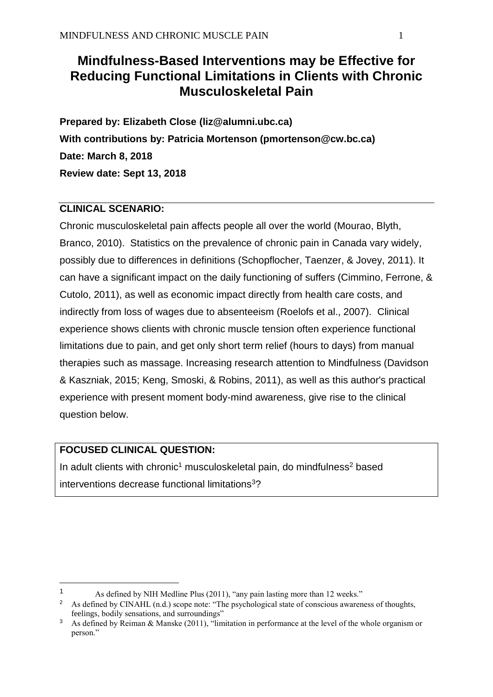# **Mindfulness-Based Interventions may be Effective for Reducing Functional Limitations in Clients with Chronic Musculoskeletal Pain**

**Prepared by: Elizabeth Close (liz@alumni.ubc.ca) With contributions by: Patricia Mortenson (pmortenson@cw.bc.ca) Date: March 8, 2018 Review date: Sept 13, 2018**

## **CLINICAL SCENARIO:**

Chronic musculoskeletal pain affects people all over the world (Mourao, Blyth, Branco, 2010). Statistics on the prevalence of chronic pain in Canada vary widely, possibly due to differences in definitions (Schopflocher, Taenzer, & Jovey, 2011). It can have a significant impact on the daily functioning of suffers (Cimmino, Ferrone, & Cutolo, 2011), as well as economic impact directly from health care costs, and indirectly from loss of wages due to absenteeism (Roelofs et al., 2007). Clinical experience shows clients with chronic muscle tension often experience functional limitations due to pain, and get only short term relief (hours to days) from manual therapies such as massage. Increasing research attention to Mindfulness (Davidson & Kaszniak, 2015; Keng, Smoski, & Robins, 2011), as well as this author's practical experience with present moment body-mind awareness, give rise to the clinical question below.

## **FOCUSED CLINICAL QUESTION:**

1

In adult clients with chronic<sup>1</sup> musculoskeletal pain, do mindfulness<sup>2</sup> based interventions decrease functional limitations<sup>3</sup>?

<sup>1</sup> As defined by NIH Medline Plus (2011), "any pain lasting more than 12 weeks."

<sup>&</sup>lt;sup>2</sup> As defined by CINAHL (n.d.) scope note: "The psychological state of conscious awareness of thoughts, feelings, bodily sensations, and surroundings"

<sup>&</sup>lt;sup>3</sup> As defined by Reiman & Manske (2011), "limitation in performance at the level of the whole organism or person."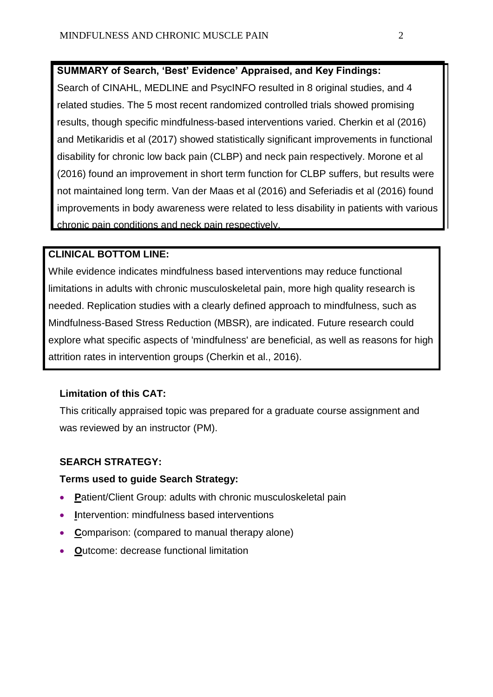# **SUMMARY of Search, 'Best' Evidence' Appraised, and Key Findings:**

Search of CINAHL, MEDLINE and PsycINFO resulted in 8 original studies, and 4 related studies. The 5 most recent randomized controlled trials showed promising results, though specific mindfulness-based interventions varied. Cherkin et al (2016) and Metikaridis et al (2017) showed statistically significant improvements in functional disability for chronic low back pain (CLBP) and neck pain respectively. Morone et al (2016) found an improvement in short term function for CLBP suffers, but results were not maintained long term. Van der Maas et al (2016) and Seferiadis et al (2016) found improvements in body awareness were related to less disability in patients with various chronic pain conditions and neck pain respectively.

## **CLINICAL BOTTOM LINE:**

While evidence indicates mindfulness based interventions may reduce functional limitations in adults with chronic musculoskeletal pain, more high quality research is needed. Replication studies with a clearly defined approach to mindfulness, such as Mindfulness-Based Stress Reduction (MBSR), are indicated. Future research could explore what specific aspects of 'mindfulness' are beneficial, as well as reasons for high attrition rates in intervention groups (Cherkin et al., 2016).

## **Limitation of this CAT:**

This critically appraised topic was prepared for a graduate course assignment and was reviewed by an instructor (PM).

# **SEARCH STRATEGY:**

## **Terms used to guide Search Strategy:**

- **Patient/Client Group: adults with chronic musculoskeletal pain**
- **•** Intervention: mindfulness based interventions
- Comparison: (compared to manual therapy alone)
- **O**utcome: decrease functional limitation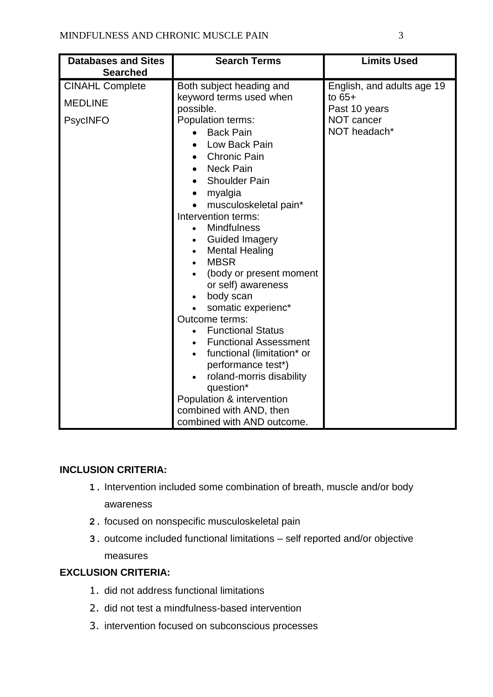| <b>Databases and Sites</b><br><b>Searched</b> | <b>Search Terms</b>                                                                                                                                                                                                                                                                                                                                                                                                                                                                                                                                                                                                                                                                     | <b>Limits Used</b>                                 |
|-----------------------------------------------|-----------------------------------------------------------------------------------------------------------------------------------------------------------------------------------------------------------------------------------------------------------------------------------------------------------------------------------------------------------------------------------------------------------------------------------------------------------------------------------------------------------------------------------------------------------------------------------------------------------------------------------------------------------------------------------------|----------------------------------------------------|
| <b>CINAHL Complete</b>                        | Both subject heading and<br>keyword terms used when                                                                                                                                                                                                                                                                                                                                                                                                                                                                                                                                                                                                                                     | English, and adults age 19<br>to $65+$             |
|                                               |                                                                                                                                                                                                                                                                                                                                                                                                                                                                                                                                                                                                                                                                                         |                                                    |
| <b>MEDLINE</b><br><b>PsycINFO</b>             | possible.<br><b>Population terms:</b><br><b>Back Pain</b><br>Low Back Pain<br><b>Chronic Pain</b><br><b>Neck Pain</b><br><b>Shoulder Pain</b><br>myalgia<br>musculoskeletal pain*<br>Intervention terms:<br><b>Mindfulness</b><br>$\bullet$<br><b>Guided Imagery</b><br><b>Mental Healing</b><br>$\bullet$<br><b>MBSR</b><br>$\bullet$<br>(body or present moment<br>or self) awareness<br>body scan<br>somatic experienc*<br>Outcome terms:<br><b>Functional Status</b><br>$\bullet$<br><b>Functional Assessment</b><br>$\bullet$<br>functional (limitation* or<br>performance test*)<br>roland-morris disability<br>question*<br>Population & intervention<br>combined with AND, then | Past 10 years<br><b>NOT cancer</b><br>NOT headach* |
|                                               | combined with AND outcome.                                                                                                                                                                                                                                                                                                                                                                                                                                                                                                                                                                                                                                                              |                                                    |

## **INCLUSION CRITERIA:**

- **1.** Intervention included some combination of breath, muscle and/or body awareness
- **2.** focused on nonspecific musculoskeletal pain
- **3.** outcome included functional limitations self reported and/or objective measures

# **EXCLUSION CRITERIA:**

- 1. did not address functional limitations
- 2. did not test a mindfulness-based intervention
- 3. intervention focused on subconscious processes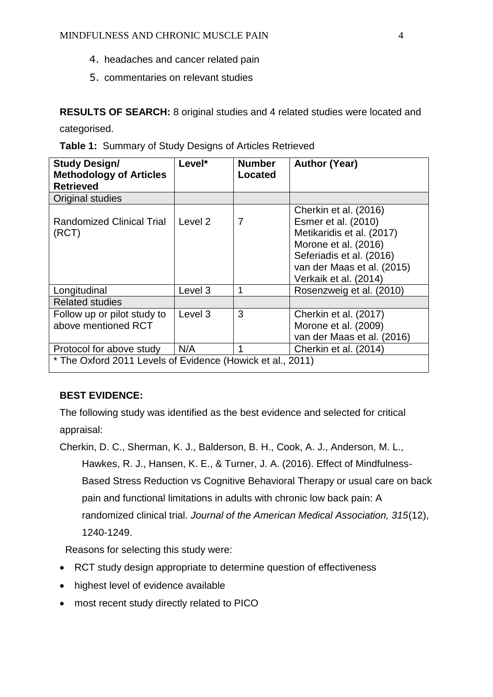- 4. headaches and cancer related pain
- 5. commentaries on relevant studies

**RESULTS OF SEARCH:** 8 original studies and 4 related studies were located and

categorised.

|  |  |  |  |  | Table 1: Summary of Study Designs of Articles Retrieved |
|--|--|--|--|--|---------------------------------------------------------|
|--|--|--|--|--|---------------------------------------------------------|

| <b>Study Design/</b><br><b>Methodology of Articles</b><br><b>Retrieved</b> | Level*  | <b>Number</b><br><b>Located</b> | <b>Author (Year)</b>                                                                                                                                                                 |  |  |
|----------------------------------------------------------------------------|---------|---------------------------------|--------------------------------------------------------------------------------------------------------------------------------------------------------------------------------------|--|--|
| Original studies                                                           |         |                                 |                                                                                                                                                                                      |  |  |
| <b>Randomized Clinical Trial</b><br>(RCT)                                  | Level 2 | 7                               | Cherkin et al. (2016)<br>Esmer et al. (2010)<br>Metikaridis et al. (2017)<br>Morone et al. (2016)<br>Seferiadis et al. (2016)<br>van der Maas et al. (2015)<br>Verkaik et al. (2014) |  |  |
| Longitudinal                                                               | Level 3 | 1                               | Rosenzweig et al. (2010)                                                                                                                                                             |  |  |
| <b>Related studies</b>                                                     |         |                                 |                                                                                                                                                                                      |  |  |
| Follow up or pilot study to<br>above mentioned RCT                         | Level 3 | 3                               | Cherkin et al. (2017)<br>Morone et al. (2009)<br>van der Maas et al. (2016)                                                                                                          |  |  |
| Protocol for above study                                                   | N/A     |                                 | Cherkin et al. (2014)                                                                                                                                                                |  |  |
| * The Oxford 2011 Levels of Evidence (Howick et al., 2011)                 |         |                                 |                                                                                                                                                                                      |  |  |

## **BEST EVIDENCE:**

The following study was identified as the best evidence and selected for critical appraisal:

Cherkin, D. C., Sherman, K. J., Balderson, B. H., Cook, A. J., Anderson, M. L., Hawkes, R. J., Hansen, K. E., & Turner, J. A. (2016). Effect of Mindfulness-Based Stress Reduction vs Cognitive Behavioral Therapy or usual care on back pain and functional limitations in adults with chronic low back pain: A randomized clinical trial. *Journal of the American Medical Association, 315*(12), 1240-1249.

Reasons for selecting this study were:

- RCT study design appropriate to determine question of effectiveness
- highest level of evidence available
- most recent study directly related to PICO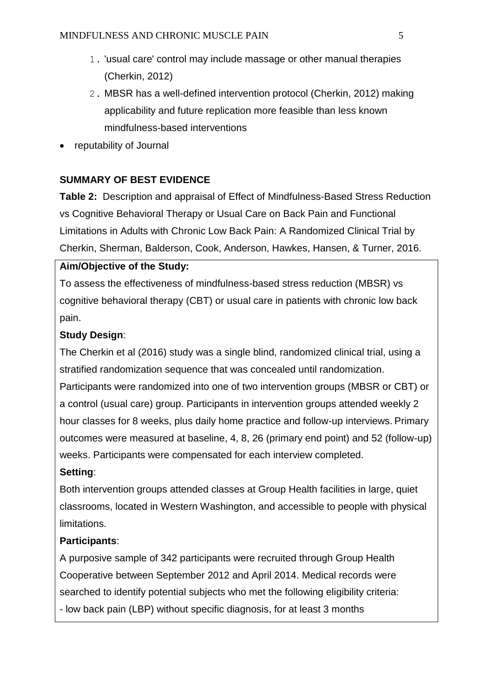- 1. 'usual care' control may include massage or other manual therapies (Cherkin, 2012)
- 2. MBSR has a well-defined intervention protocol (Cherkin, 2012) making applicability and future replication more feasible than less known mindfulness-based interventions
- reputability of Journal

# **SUMMARY OF BEST EVIDENCE**

**Table 2:** Description and appraisal of Effect of Mindfulness-Based Stress Reduction vs Cognitive Behavioral Therapy or Usual Care on Back Pain and Functional Limitations in Adults with Chronic Low Back Pain: A Randomized Clinical Trial by Cherkin, Sherman, Balderson, Cook, Anderson, Hawkes, Hansen, & Turner, 2016.

## **Aim/Objective of the Study:**

To assess the effectiveness of mindfulness-based stress reduction (MBSR) vs cognitive behavioral therapy (CBT) or usual care in patients with chronic low back pain.

## **Study Design**:

The Cherkin et al (2016) study was a single blind, randomized clinical trial, using a stratified randomization sequence that was concealed until randomization. Participants were randomized into one of two intervention groups (MBSR or CBT) or a control (usual care) group. Participants in intervention groups attended weekly 2 hour classes for 8 weeks, plus daily home practice and follow-up interviews. Primary outcomes were measured at baseline, 4, 8, 26 (primary end point) and 52 (follow-up) weeks. Participants were compensated for each interview completed.

## **Setting**:

Both intervention groups attended classes at Group Health facilities in large, quiet classrooms, located in Western Washington, and accessible to people with physical limitations.

## **Participants**:

A purposive sample of 342 participants were recruited through Group Health Cooperative between September 2012 and April 2014. Medical records were searched to identify potential subjects who met the following eligibility criteria: - low back pain (LBP) without specific diagnosis, for at least 3 months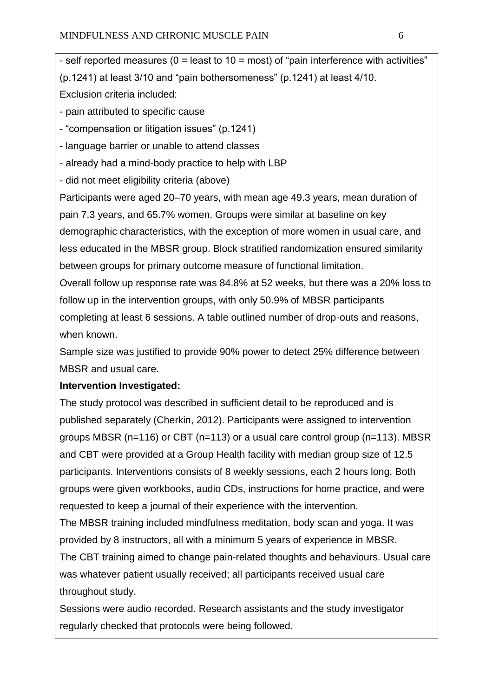- self reported measures ( $0 =$  least to  $10 =$  most) of "pain interference with activities" (p.1241) at least 3/10 and "pain bothersomeness" (p.1241) at least 4/10.

Exclusion criteria included:

- pain attributed to specific cause

- "compensation or litigation issues" (p.1241)

- language barrier or unable to attend classes

- already had a mind-body practice to help with LBP

- did not meet eligibility criteria (above)

Participants were aged 20–70 years, with mean age 49.3 years, mean duration of pain 7.3 years, and 65.7% women. Groups were similar at baseline on key demographic characteristics, with the exception of more women in usual care, and less educated in the MBSR group. Block stratified randomization ensured similarity between groups for primary outcome measure of functional limitation.

Overall follow up response rate was 84.8% at 52 weeks, but there was a 20% loss to follow up in the intervention groups, with only 50.9% of MBSR participants completing at least 6 sessions. A table outlined number of drop-outs and reasons, when known.

Sample size was justified to provide 90% power to detect 25% difference between MBSR and usual care.

# **Intervention Investigated:**

The study protocol was described in sufficient detail to be reproduced and is published separately (Cherkin, 2012). Participants were assigned to intervention groups MBSR (n=116) or CBT (n=113) or a usual care control group (n=113). MBSR and CBT were provided at a Group Health facility with median group size of 12.5 participants. Interventions consists of 8 weekly sessions, each 2 hours long. Both groups were given workbooks, audio CDs, instructions for home practice, and were requested to keep a journal of their experience with the intervention. The MBSR training included mindfulness meditation, body scan and yoga. It was

provided by 8 instructors, all with a minimum 5 years of experience in MBSR.

The CBT training aimed to change pain-related thoughts and behaviours. Usual care was whatever patient usually received; all participants received usual care throughout study.

Sessions were audio recorded. Research assistants and the study investigator regularly checked that protocols were being followed.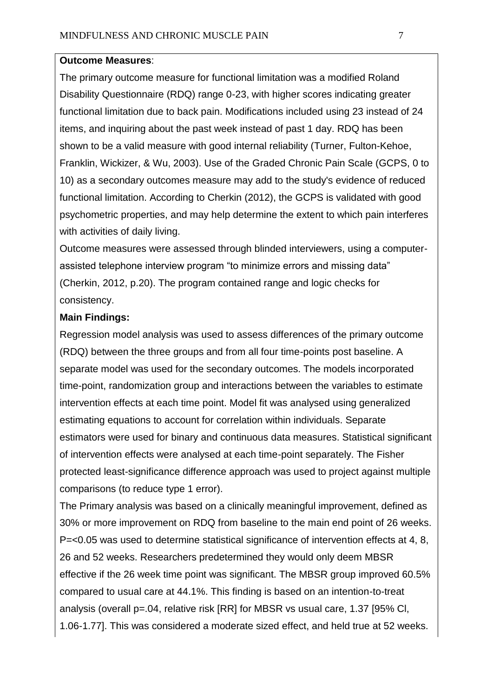#### **Outcome Measures**:

The primary outcome measure for functional limitation was a modified Roland Disability Questionnaire (RDQ) range 0-23, with higher scores indicating greater functional limitation due to back pain. Modifications included using 23 instead of 24 items, and inquiring about the past week instead of past 1 day. RDQ has been shown to be a valid measure with good internal reliability (Turner, Fulton-Kehoe, Franklin, Wickizer, & Wu, 2003). Use of the Graded Chronic Pain Scale (GCPS, 0 to 10) as a secondary outcomes measure may add to the study's evidence of reduced functional limitation. According to Cherkin (2012), the GCPS is validated with good psychometric properties, and may help determine the extent to which pain interferes with activities of daily living.

Outcome measures were assessed through blinded interviewers, using a computerassisted telephone interview program "to minimize errors and missing data" (Cherkin, 2012, p.20). The program contained range and logic checks for consistency.

#### **Main Findings:**

Regression model analysis was used to assess differences of the primary outcome (RDQ) between the three groups and from all four time-points post baseline. A separate model was used for the secondary outcomes. The models incorporated time-point, randomization group and interactions between the variables to estimate intervention effects at each time point. Model fit was analysed using generalized estimating equations to account for correlation within individuals. Separate estimators were used for binary and continuous data measures. Statistical significant of intervention effects were analysed at each time-point separately. The Fisher protected least-significance difference approach was used to project against multiple comparisons (to reduce type 1 error).

The Primary analysis was based on a clinically meaningful improvement, defined as 30% or more improvement on RDQ from baseline to the main end point of 26 weeks. P=<0.05 was used to determine statistical significance of intervention effects at 4, 8, 26 and 52 weeks. Researchers predetermined they would only deem MBSR effective if the 26 week time point was significant. The MBSR group improved 60.5% compared to usual care at 44.1%. This finding is based on an intention-to-treat analysis (overall p=.04, relative risk [RR] for MBSR vs usual care, 1.37 [95% Cl, 1.06-1.77]. This was considered a moderate sized effect, and held true at 52 weeks.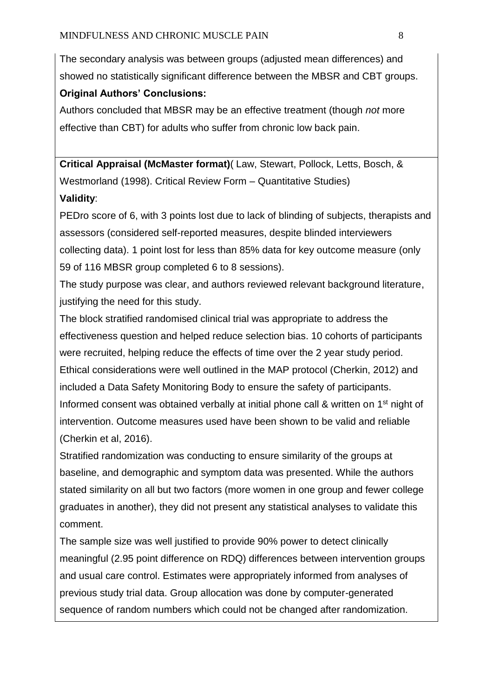The secondary analysis was between groups (adjusted mean differences) and showed no statistically significant difference between the MBSR and CBT groups.

## **Original Authors' Conclusions:**

Authors concluded that MBSR may be an effective treatment (though *not* more effective than CBT) for adults who suffer from chronic low back pain.

**Critical Appraisal (McMaster format)**( Law, Stewart, Pollock, Letts, Bosch, & Westmorland (1998). Critical Review Form – Quantitative Studies) **Validity**:

PEDro score of 6, with 3 points lost due to lack of blinding of subjects, therapists and assessors (considered self-reported measures, despite blinded interviewers collecting data). 1 point lost for less than 85% data for key outcome measure (only 59 of 116 MBSR group completed 6 to 8 sessions).

The study purpose was clear, and authors reviewed relevant background literature, justifying the need for this study.

The block stratified randomised clinical trial was appropriate to address the effectiveness question and helped reduce selection bias. 10 cohorts of participants were recruited, helping reduce the effects of time over the 2 year study period. Ethical considerations were well outlined in the MAP protocol (Cherkin, 2012) and included a Data Safety Monitoring Body to ensure the safety of participants. Informed consent was obtained verbally at initial phone call & written on 1<sup>st</sup> night of intervention. Outcome measures used have been shown to be valid and reliable (Cherkin et al, 2016).

Stratified randomization was conducting to ensure similarity of the groups at baseline, and demographic and symptom data was presented. While the authors stated similarity on all but two factors (more women in one group and fewer college graduates in another), they did not present any statistical analyses to validate this comment.

The sample size was well justified to provide 90% power to detect clinically meaningful (2.95 point difference on RDQ) differences between intervention groups and usual care control. Estimates were appropriately informed from analyses of previous study trial data. Group allocation was done by computer-generated sequence of random numbers which could not be changed after randomization.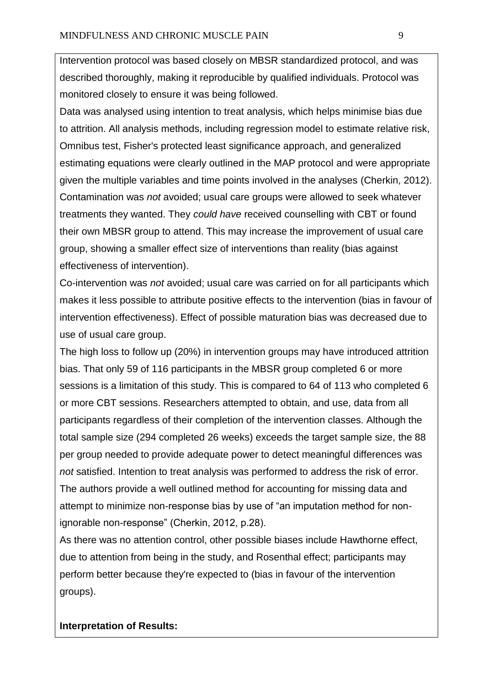Intervention protocol was based closely on MBSR standardized protocol, and was described thoroughly, making it reproducible by qualified individuals. Protocol was monitored closely to ensure it was being followed.

Data was analysed using intention to treat analysis, which helps minimise bias due to attrition. All analysis methods, including regression model to estimate relative risk, Omnibus test, Fisher's protected least significance approach, and generalized estimating equations were clearly outlined in the MAP protocol and were appropriate given the multiple variables and time points involved in the analyses (Cherkin, 2012). Contamination was *not* avoided; usual care groups were allowed to seek whatever treatments they wanted. They *could have* received counselling with CBT or found their own MBSR group to attend. This may increase the improvement of usual care group, showing a smaller effect size of interventions than reality (bias against effectiveness of intervention).

Co-intervention was *not* avoided; usual care was carried on for all participants which makes it less possible to attribute positive effects to the intervention (bias in favour of intervention effectiveness). Effect of possible maturation bias was decreased due to use of usual care group.

The high loss to follow up (20%) in intervention groups may have introduced attrition bias. That only 59 of 116 participants in the MBSR group completed 6 or more sessions is a limitation of this study. This is compared to 64 of 113 who completed 6 or more CBT sessions. Researchers attempted to obtain, and use, data from all participants regardless of their completion of the intervention classes. Although the total sample size (294 completed 26 weeks) exceeds the target sample size, the 88 per group needed to provide adequate power to detect meaningful differences was *not* satisfied. Intention to treat analysis was performed to address the risk of error. The authors provide a well outlined method for accounting for missing data and attempt to minimize non-response bias by use of "an imputation method for nonignorable non-response" (Cherkin, 2012, p.28).

As there was no attention control, other possible biases include Hawthorne effect, due to attention from being in the study, and Rosenthal effect; participants may perform better because they're expected to (bias in favour of the intervention groups).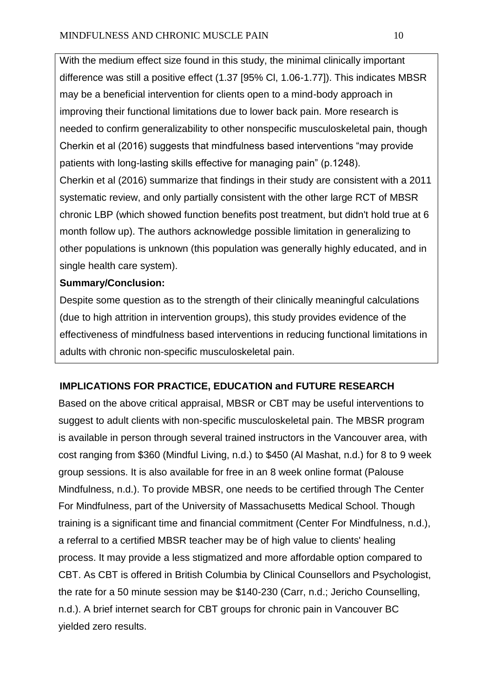With the medium effect size found in this study, the minimal clinically important difference was still a positive effect (1.37 [95% Cl, 1.06-1.77]). This indicates MBSR may be a beneficial intervention for clients open to a mind-body approach in improving their functional limitations due to lower back pain. More research is needed to confirm generalizability to other nonspecific musculoskeletal pain, though Cherkin et al (2016) suggests that mindfulness based interventions "may provide patients with long-lasting skills effective for managing pain" (p.1248). Cherkin et al (2016) summarize that findings in their study are consistent with a 2011 systematic review, and only partially consistent with the other large RCT of MBSR chronic LBP (which showed function benefits post treatment, but didn't hold true at 6 month follow up). The authors acknowledge possible limitation in generalizing to other populations is unknown (this population was generally highly educated, and in single health care system).

#### **Summary/Conclusion:**

Despite some question as to the strength of their clinically meaningful calculations (due to high attrition in intervention groups), this study provides evidence of the effectiveness of mindfulness based interventions in reducing functional limitations in adults with chronic non-specific musculoskeletal pain.

## **IMPLICATIONS FOR PRACTICE, EDUCATION and FUTURE RESEARCH**

Based on the above critical appraisal, MBSR or CBT may be useful interventions to suggest to adult clients with non-specific musculoskeletal pain. The MBSR program is available in person through several trained instructors in the Vancouver area, with cost ranging from \$360 (Mindful Living, n.d.) to \$450 (Al Mashat, n.d.) for 8 to 9 week group sessions. It is also available for free in an 8 week online format (Palouse Mindfulness, n.d.). To provide MBSR, one needs to be certified through The Center For Mindfulness, part of the University of Massachusetts Medical School. Though training is a significant time and financial commitment (Center For Mindfulness, n.d.), a referral to a certified MBSR teacher may be of high value to clients' healing process. It may provide a less stigmatized and more affordable option compared to CBT. As CBT is offered in British Columbia by Clinical Counsellors and Psychologist, the rate for a 50 minute session may be \$140-230 (Carr, n.d.; Jericho Counselling, n.d.). A brief internet search for CBT groups for chronic pain in Vancouver BC yielded zero results.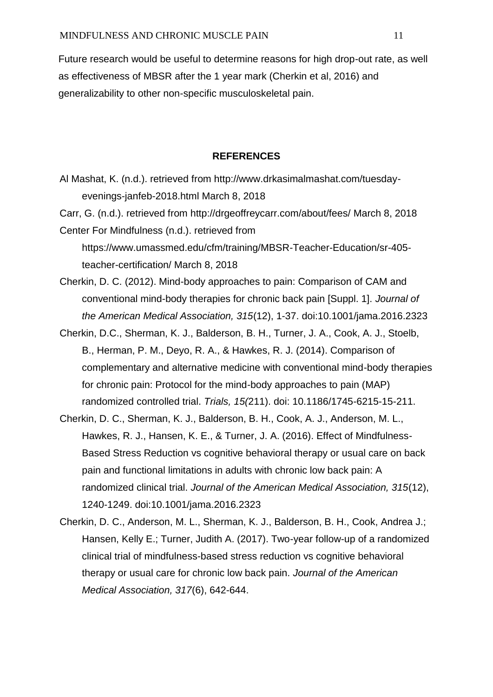Future research would be useful to determine reasons for high drop-out rate, as well as effectiveness of MBSR after the 1 year mark (Cherkin et al, 2016) and generalizability to other non-specific musculoskeletal pain.

#### **REFERENCES**

- Al Mashat, K. (n.d.). retrieved from http://www.drkasimalmashat.com/tuesdayevenings-janfeb-2018.html March 8, 2018
- Carr, G. (n.d.). retrieved from http://drgeoffreycarr.com/about/fees/ March 8, 2018 Center For Mindfulness (n.d.). retrieved from https://www.umassmed.edu/cfm/training/MBSR-Teacher-Education/sr-405-

teacher-certification/ March 8, 2018

- Cherkin, D. C. (2012). Mind-body approaches to pain: Comparison of CAM and conventional mind-body therapies for chronic back pain [Suppl. 1]. *Journal of the American Medical Association, 315*(12), 1-37. doi:10.1001/jama.2016.2323
- Cherkin, D.C., Sherman, K. J., Balderson, B. H., Turner, J. A., Cook, A. J., Stoelb, B., Herman, P. M., Deyo, R. A., & Hawkes, R. J. (2014). Comparison of complementary and alternative medicine with conventional mind-body therapies for chronic pain: Protocol for the mind-body approaches to pain (MAP) randomized controlled trial. *Trials, 15(*211). doi: 10.1186/1745-6215-15-211.
- Cherkin, D. C., Sherman, K. J., Balderson, B. H., Cook, A. J., Anderson, M. L., Hawkes, R. J., Hansen, K. E., & Turner, J. A. (2016). Effect of Mindfulness-Based Stress Reduction vs cognitive behavioral therapy or usual care on back pain and functional limitations in adults with chronic low back pain: A randomized clinical trial. *Journal of the American Medical Association, 315*(12), 1240-1249. doi:10.1001/jama.2016.2323
- Cherkin, D. C., Anderson, M. L., Sherman, K. J., Balderson, B. H., Cook, Andrea J.; Hansen, Kelly E.; Turner, Judith A. (2017). Two-year follow-up of a randomized clinical trial of mindfulness-based stress reduction vs cognitive behavioral therapy or usual care for chronic low back pain. *Journal of the American Medical Association, 317*(6), 642-644.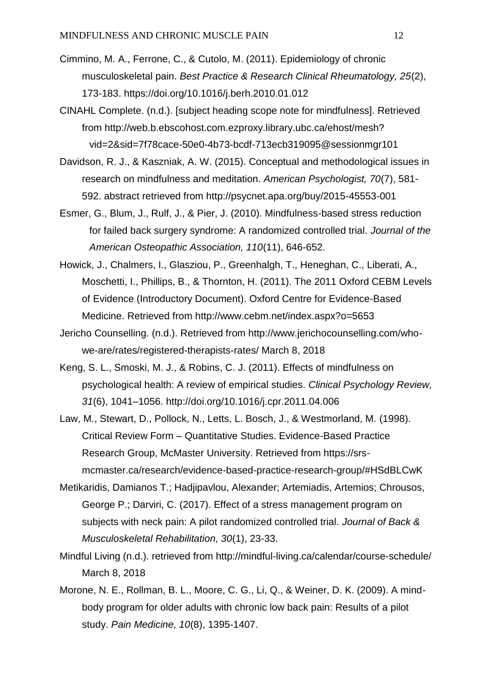- Cimmino, M. A., Ferrone, C., & Cutolo, M. (2011). Epidemiology of chronic musculoskeletal pain. *Best Practice & Research Clinical Rheumatology, 25*(2), 173-183.<https://doi.org/10.1016/j.berh.2010.01.012>
- CINAHL Complete. (n.d.). [subject heading scope note for mindfulness]. Retrieved from http://web.b.ebscohost.com.ezproxy.library.ubc.ca/ehost/mesh? vid=2&sid=7f78cace-50e0-4b73-bcdf-713ecb319095@sessionmgr101
- Davidson, R. J., & Kaszniak, A. W. (2015). Conceptual and methodological issues in research on mindfulness and meditation. *American Psychologist, 70*(7), 581- 592. abstract retrieved from http://psycnet.apa.org/buy/2015-45553-001
- Esmer, G., Blum, J., Rulf, J., & Pier, J. (2010). Mindfulness-based stress reduction for failed back surgery syndrome: A randomized controlled trial. *Journal of the American Osteopathic Association, 110*(11), 646-652.
- Howick, J., Chalmers, I., Glasziou, P., Greenhalgh, T., Heneghan, C., Liberati, A., Moschetti, I., Phillips, B., & Thornton, H. (2011). The 2011 Oxford CEBM Levels of Evidence (Introductory Document). Oxford Centre for Evidence-Based Medicine. Retrieved from <http://www.cebm.net/index.aspx?o=5653>
- Jericho Counselling. (n.d.). Retrieved from http://www.jerichocounselling.com/whowe-are/rates/registered-therapists-rates/ March 8, 2018
- Keng, S. L., Smoski, M. J., & Robins, C. J. (2011). Effects of mindfulness on psychological health: A review of empirical studies. *Clinical Psychology Review, 31*(6), 1041–1056. http://doi.org/10.1016/j.cpr.2011.04.006
- Law, M., Stewart, D., Pollock, N., Letts, L. Bosch, J., & Westmorland, M. (1998). Critical Review Form – Quantitative Studies. Evidence-Based Practice Research Group, McMaster University. Retrieved from https://srsmcmaster.ca/research/evidence-based-practice-research-group/#HSdBLCwK
- Metikaridis, Damianos T.; Hadjipavlou, Alexander; Artemiadis, Artemios; Chrousos, George P.; Darviri, C. (2017). Effect of a stress management program on subjects with neck pain: A pilot randomized controlled trial. *Journal of Back & Musculoskeletal Rehabilitation, 30*(1), 23-33.
- Mindful Living (n.d.). retrieved from http://mindful-living.ca/calendar/course-schedule/ March 8, 2018
- Morone, N. E., Rollman, B. L., Moore, C. G., Li, Q., & Weiner, D. K. (2009). A mindbody program for older adults with chronic low back pain: Results of a pilot study. *Pain Medicine, 10*(8), 1395-1407.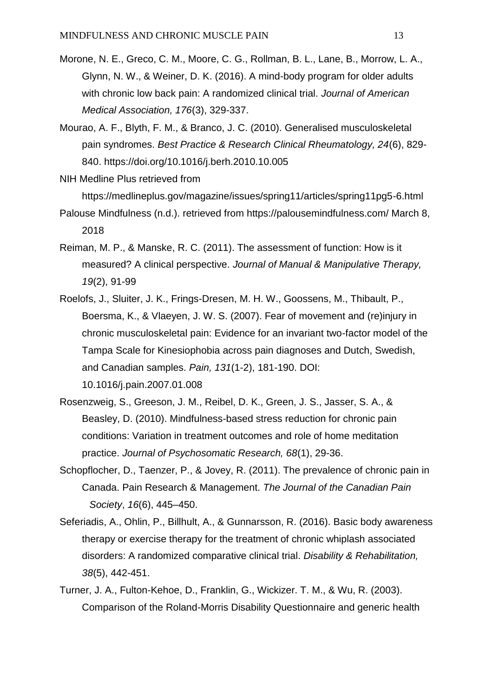- Morone, N. E., Greco, C. M., Moore, C. G., Rollman, B. L., Lane, B., Morrow, L. A., Glynn, N. W., & Weiner, D. K. (2016). A mind-body program for older adults with chronic low back pain: A randomized clinical trial. *Journal of American Medical Association, 176*(3), 329-337.
- Mourao, A. F., Blyth, F. M., & Branco, J. C. (2010). Generalised musculoskeletal pain syndromes. *Best Practice & Research Clinical Rheumatology, 24*(6), 829- 840.<https://doi.org/10.1016/j.berh.2010.10.005>
- NIH Medline Plus retrieved from https://medlineplus.gov/magazine/issues/spring11/articles/spring11pg5-6.html
- Palouse Mindfulness (n.d.). retrieved from https://palousemindfulness.com/ March 8, 2018
- Reiman, M. P., & Manske, R. C. (2011). The assessment of function: How is it measured? A clinical perspective. *Journal of Manual & Manipulative Therapy, 19*(2), 91-99
- Roelofs, J., Sluiter, J. K., Frings-Dresen, M. H. W., Goossens, M., Thibault, P., Boersma, K., & Vlaeyen, J. W. S. (2007). Fear of movement and (re)injury in chronic musculoskeletal pain: Evidence for an invariant two-factor model of the Tampa Scale for Kinesiophobia across pain diagnoses and Dutch, Swedish, and Canadian samples. *Pain, 131*(1-2), 181-190. DOI: 10.1016/j.pain.2007.01.008
- Rosenzweig, S., Greeson, J. M., Reibel, D. K., Green, J. S., Jasser, S. A., & Beasley, D. (2010). Mindfulness-based stress reduction for chronic pain conditions: Variation in treatment outcomes and role of home meditation practice. *Journal of Psychosomatic Research, 68*(1), 29-36.
- Schopflocher, D., Taenzer, P., & Jovey, R. (2011). The prevalence of chronic pain in Canada. Pain Research & Management. *The Journal of the Canadian Pain Society*, *16*(6), 445–450.
- Seferiadis, A., Ohlin, P., Billhult, A., & Gunnarsson, R. (2016). Basic body awareness therapy or exercise therapy for the treatment of chronic whiplash associated disorders: A randomized comparative clinical trial. *Disability & Rehabilitation, 38*(5), 442-451.
- Turner, J. A., Fulton-Kehoe, D., Franklin, G., Wickizer. T. M., & Wu, R. (2003). Comparison of the Roland-Morris Disability Questionnaire and generic health